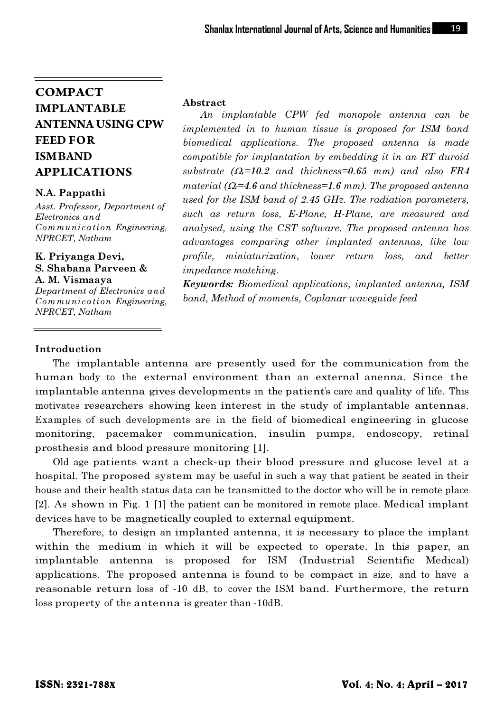# **COMPACT IMPLANTABLE ANTENNA USING CPW FEED FOR ISM BAND APPLICATIONS**

### N.A. Pappathi

Asst. Professor, Department of Electronics and Communication Engineering, NPRCET, Natham

#### K. Priyanga Devi, S. Shabana Parveen & A. M. Vismaaya

Department of Electronics and Communication Engineering, NPRCET, Natham

#### Abstract

 An implantable CPW fed monopole antenna can be implemented in to human tissue is proposed for ISM band biomedical applications. The proposed antenna is made compatible for implantation by embedding it in an RT duroid substrate  $(\Omega_r=10.2$  and thickness=0.65 mm) and also FR4 material ( $\Omega$ =4.6 and thickness=1.6 mm). The proposed antenna used for the ISM band of 2.45 GHz. The radiation parameters, such as return loss, E-Plane, H-Plane, are measured and analysed, using the CST software. The proposed antenna has advantages comparing other implanted antennas, like low profile, miniaturization, lower return loss, and better impedance matching.

Keywords: Biomedical applications, implanted antenna, ISM band, Method of moments, Coplanar waveguide feed

## Introduction

 The implantable antenna are presently used for the communication from the human body to the external environment than an external anenna. Since the implantable antenna gives developments in the patient's care and quality of life. This motivates researchers showing keen interest in the study of implantable antennas. Examples of such developments are in the field of biomedical engineering in glucose monitoring, pacemaker communication, insulin pumps, endoscopy, retinal prosthesis and blood pressure monitoring [1].

 Old age patients want a check-up their blood pressure and glucose level at a hospital. The proposed system may be useful in such a way that patient be seated in their house and their health status data can be transmitted to the doctor who will be in remote place [2]. As shown in Fig. 1 [1] the patient can be monitored in remote place. Medical implant devices have to be magnetically coupled to external equipment.

 Therefore, to design an implanted antenna, it is necessary to place the implant within the medium in which it will be expected to operate. In this paper, an implantable antenna is proposed for ISM (Industrial Scientific Medical) applications. The proposed antenna is found to be compact in size, and to have a reasonable return loss of -10 dB, to cover the ISM band. Furthermore, the return loss property of the antenna is greater than -10dB.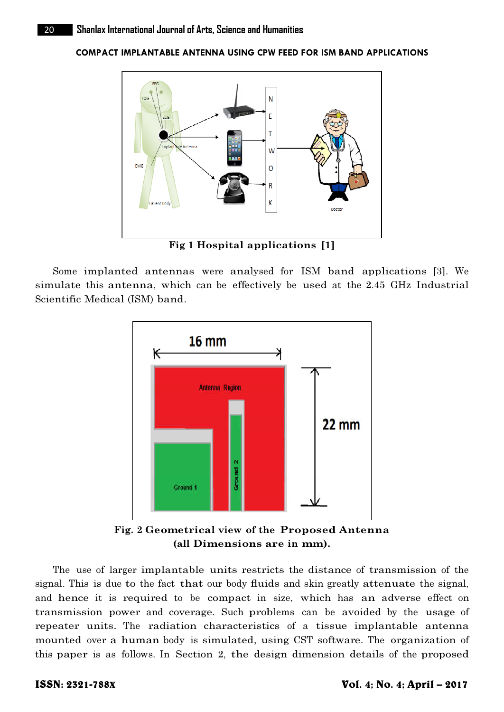COMPACT IMPLANTABLE ANTENNA USING CPW FEED FOR ISM BAND APPLICATIONS



Fig 1 Hospital applications [1]

 Some implanted antennas were analysed for ISM band applications [3]. We simulate this antenna, which can be effectively be used at the 2.45 GHz Industrial Scientific Medical (ISM) band.



Fig. 2 Geometrical view of the Proposed Antenna (all Dimensions are in mm).

 The use of larger implantable units restricts the distance of transmission of the signal. This is due to the fact that our body fluids and skin greatly attenuate the signal, and hence it is required to be compact in size, which has an adverse effect on transmission power and coverage. Such problems can be avoided by the usage of repeater units. The radiation characteristics of a tissue implantable antenna mounted over a human body is simulated, using CST software. The organization of this paper is as follows. In Section 2, the design dimension details of the proposed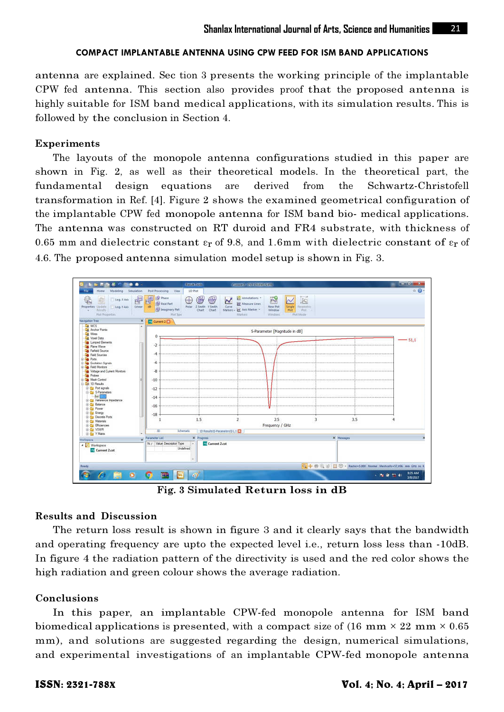#### COMPACT IMPLANTABLE ANTENNA USING CPW FEED FOR ISM BAND APPLICATIONS

antenna are explained. Sec tion 3 presents the working principle of the implantable CPW fed antenna. This section also provides proof that the proposed antenna is highly suitable for ISM band medical applications, with its simulation results. This is followed by the conclusion in Section 4.

### Experiments

 The layouts of the monopole antenna configurations studied in this paper are shown in Fig. 2, as well as their theoretical models. In the theoretical part, the fundamental design equations are derived from the Schwartz-Christofell transformation in Ref. [4]. Figure 2 shows the examined geometrical configuration of the implantable CPW fed monopole antenna for ISM band bio- medical applications. The antenna was constructed on RT duroid and FR4 substrate, with thickness of 0.65 mm and dielectric constant  $\varepsilon_r$  of 9.8, and 1.6mm with dielectric constant of  $\varepsilon_r$  of 4.6. The proposed antenna simulation model setup is shown in Fig. 3.



Fig. 3 Simulated Return loss in dB

### Results and Discussion

The return loss result is shown in figure 3 and it clearly says that the bandwidth and operating frequency are upto the expected level i.e., return loss less than -10dB. In figure 4 the radiation pattern of the directivity is used and the red color shows the high radiation and green colour shows the average radiation.

### Conclusions

In this paper, an implantable CPW-fed monopole antenna for ISM band biomedical applications is presented, with a compact size of  $(16 \text{ mm} \times 22 \text{ mm} \times 0.65)$ mm), and solutions are suggested regarding the design, numerical simulations, and experimental investigations of an implantable CPW-fed monopole antenna